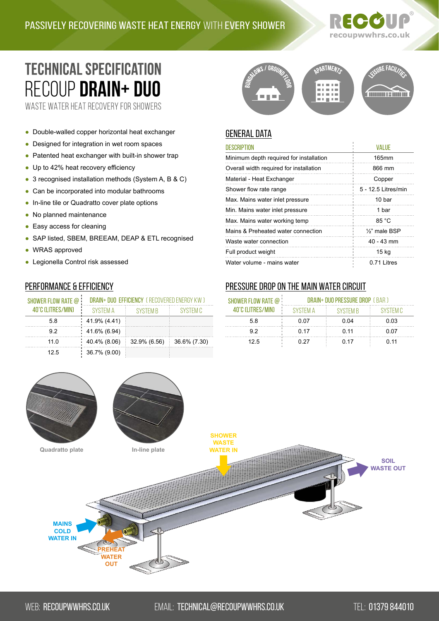# recoupwwhrs.co.uk

## **TECHNICAL SPECIFICATION** RECOUP **DRAIN+ DUO**<br>WASTE WATER HEAT RECOVERY FOR SHOWERS

- Double-walled copper horizontal heat exchanger
- Designed for integration in wet room spaces
- Patented heat exchanger with built-in shower trap
- Up to 42% heat recovery efficiency
- 3 recognised installation methods (System A, B & C)
- Can be incorporated into modular bathrooms
- In-line tile or Quadratto cover plate options
- No planned maintenance
- Easy access for cleaning
- SAP listed, SBEM, BREEAM, DEAP & ETL recognised
- WRAS approved
- Legionella Control risk assessed

#### Performance & Efficiency

| SHOWER FLOW RATE @ | DRAIN+ DUO EFFICIENCY (RECOVERED ENERGY KW) |                 |              |  |
|--------------------|---------------------------------------------|-----------------|--------------|--|
| 40°C (LITRES/MIN)  | SYSTEM A                                    | <b>SYSTEM B</b> | SYSTEM C     |  |
| 5.8                | 41.9% (4.41)                                |                 |              |  |
| 92                 | 41.6% (6.94)                                |                 |              |  |
| 11.0               | 40.4% (8.06)                                | 32.9% (6.56)    | 36.6% (7.30) |  |
| 12.5               | 36.7% (9.00)                                |                 |              |  |

#### PARTMENTS E FACIZ ina ang na an msi **The College**

#### **GENERAL DATA**

| <b>DESCRIPTION</b>                      | <b>VALUE</b>               |
|-----------------------------------------|----------------------------|
| Minimum depth required for installation | 165mm                      |
| Overall width required for installation | 866 mm                     |
| Material - Heat Exchanger               | Copper                     |
| Shower flow rate range                  | 5 - 12.5 Litres/min        |
| Max. Mains water inlet pressure         | 10 bar                     |
| Min. Mains water inlet pressure         | 1 bar                      |
| Max. Mains water working temp           | 85 °C                      |
| Mains & Preheated water connection      | 1/ <sub>2</sub> " male BSP |
| Waste water connection                  | $40 - 43$ mm               |
| Full product weight                     | 15 <sub>kg</sub>           |
| Water volume - mains water              | 0.71 Litres                |

#### Pressure drop on the main water circuit

| SHOWER FLOW RATE @ ! | DRAIN+ DUO PRESSURE DROP (BAR) |                 |          |
|----------------------|--------------------------------|-----------------|----------|
| 40°C (LITRES/MIN)    | <b>SYSTEM A</b>                | <b>SYSTEM B</b> | SYSTEM C |
| 58                   | 0.07                           | 0.04            | 0.03     |
| 92                   | 0.17                           | 0.11            | 0.07     |
| 12.5                 | 0.27                           | 0 17            | 0.11     |

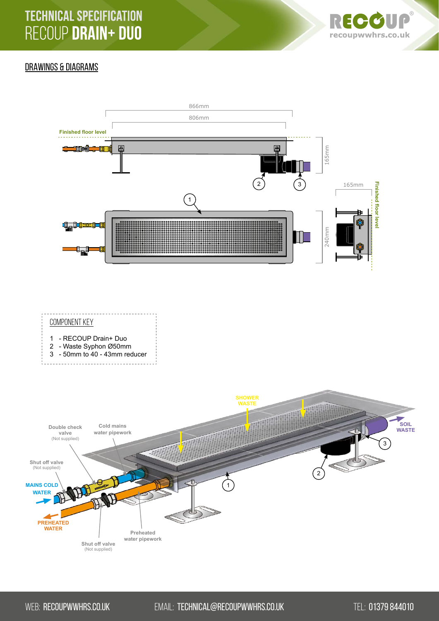

#### DRAWINGS & DIAGRAMS